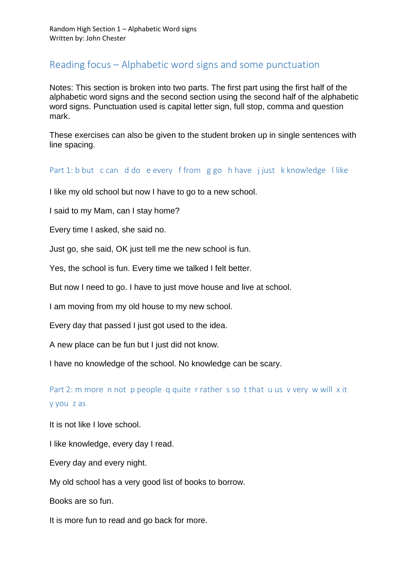## Reading focus – Alphabetic word signs and some punctuation

Notes: This section is broken into two parts. The first part using the first half of the alphabetic word signs and the second section using the second half of the alphabetic word signs. Punctuation used is capital letter sign, full stop, comma and question mark.

These exercises can also be given to the student broken up in single sentences with line spacing.

## Part 1: b but c can d do e every f from g go h have j just k knowledge l like

I like my old school but now I have to go to a new school.

I said to my Mam, can I stay home?

Every time I asked, she said no.

Just go, she said, OK just tell me the new school is fun.

Yes, the school is fun. Every time we talked I felt better.

But now I need to go. I have to just move house and live at school.

I am moving from my old house to my new school.

Every day that passed I just got used to the idea.

A new place can be fun but I just did not know.

I have no knowledge of the school. No knowledge can be scary.

Part 2: m more n not p people q quite r rather s so t that u us v very w will x it y you z as

It is not like I love school.

I like knowledge, every day I read.

Every day and every night.

My old school has a very good list of books to borrow.

Books are so fun.

It is more fun to read and go back for more.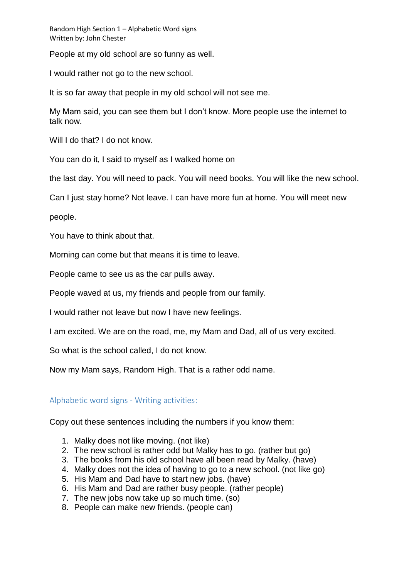Random High Section 1 – Alphabetic Word signs Written by: John Chester

People at my old school are so funny as well.

I would rather not go to the new school.

It is so far away that people in my old school will not see me.

My Mam said, you can see them but I don't know. More people use the internet to talk now.

Will I do that? I do not know.

You can do it, I said to myself as I walked home on

the last day. You will need to pack. You will need books. You will like the new school.

Can I just stay home? Not leave. I can have more fun at home. You will meet new

people.

You have to think about that.

Morning can come but that means it is time to leave.

People came to see us as the car pulls away.

People waved at us, my friends and people from our family.

I would rather not leave but now I have new feelings.

I am excited. We are on the road, me, my Mam and Dad, all of us very excited.

So what is the school called, I do not know.

Now my Mam says, Random High. That is a rather odd name.

## Alphabetic word signs - Writing activities:

Copy out these sentences including the numbers if you know them:

- 1. Malky does not like moving. (not like)
- 2. The new school is rather odd but Malky has to go. (rather but go)
- 3. The books from his old school have all been read by Malky. (have)
- 4. Malky does not the idea of having to go to a new school. (not like go)
- 5. His Mam and Dad have to start new jobs. (have)
- 6. His Mam and Dad are rather busy people. (rather people)
- 7. The new jobs now take up so much time. (so)
- 8. People can make new friends. (people can)